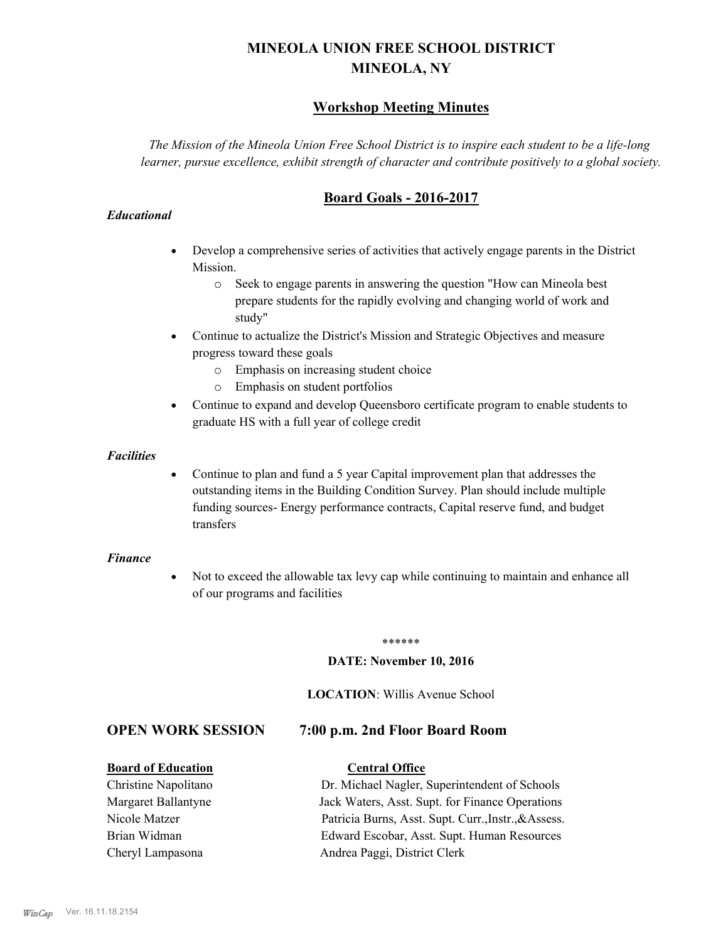# **MINEOLA UNION FREE SCHOOL DISTRICT MINEOLA, NY**

# **Workshop Meeting Minutes**

*The Mission of the Mineola Union Free School District is to inspire each student to be a life-long learner, pursue excellence, exhibit strength of character and contribute positively to a global society.*

# **Board Goals - 2016-2017**

#### *Educational*

- · Develop a comprehensive series of activities that actively engage parents in the District Mission.
	- o Seek to engage parents in answering the question "How can Mineola best prepare students for the rapidly evolving and changing world of work and study"
- · Continue to actualize the District's Mission and Strategic Objectives and measure progress toward these goals
	- o Emphasis on increasing student choice
	- o Emphasis on student portfolios
- · Continue to expand and develop Queensboro certificate program to enable students to graduate HS with a full year of college credit

#### *Facilities*

· Continue to plan and fund a 5 year Capital improvement plan that addresses the outstanding items in the Building Condition Survey. Plan should include multiple funding sources- Energy performance contracts, Capital reserve fund, and budget transfers

#### *Finance*

• Not to exceed the allowable tax levy cap while continuing to maintain and enhance all of our programs and facilities

#### \*\*\*\*\*\*

#### **DATE: November 10, 2016**

#### **LOCATION**: Willis Avenue School

### **OPEN WORK SESSION 7:00 p.m. 2nd Floor Board Room**

#### **Board of Education Central Office**

Christine Napolitano Dr. Michael Nagler, Superintendent of Schools Margaret Ballantyne Jack Waters, Asst. Supt. for Finance Operations Nicole Matzer Patricia Burns, Asst. Supt. Curr.,Instr.,&Assess. Brian Widman Edward Escobar, Asst. Supt. Human Resources Cheryl Lampasona Andrea Paggi, District Clerk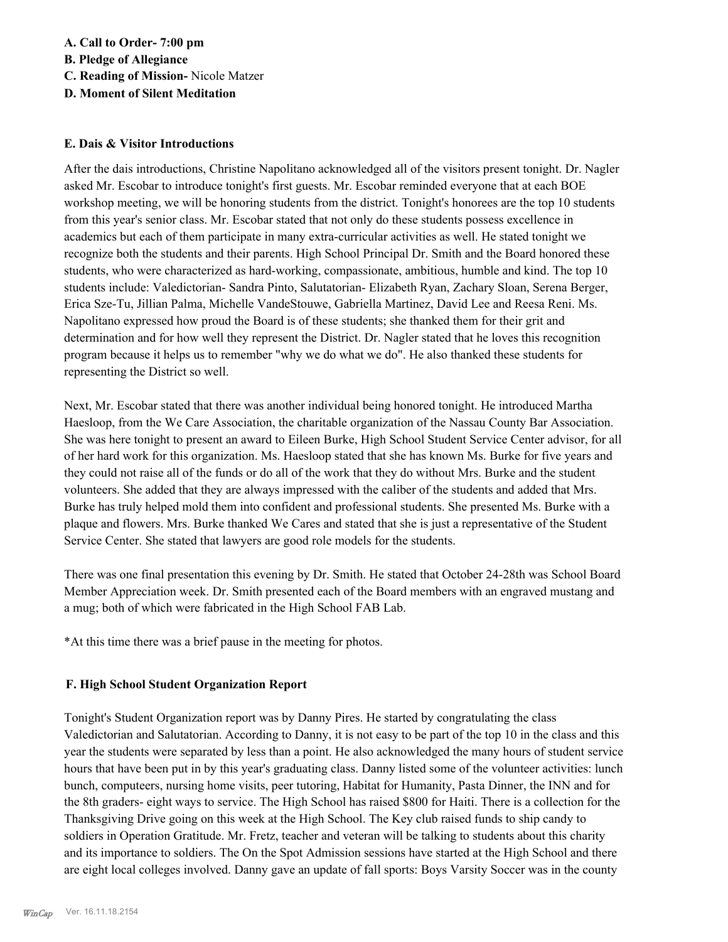**A. Call to Order- 7:00 pm B. Pledge of Allegiance C. Reading of Mission-** Nicole Matzer

**D. Moment of Silent Meditation**

#### **E. Dais & Visitor Introductions**

After the dais introductions, Christine Napolitano acknowledged all of the visitors present tonight. Dr. Nagler asked Mr. Escobar to introduce tonight's first guests. Mr. Escobar reminded everyone that at each BOE workshop meeting, we will be honoring students from the district. Tonight's honorees are the top 10 students from this year's senior class. Mr. Escobar stated that not only do these students possess excellence in academics but each of them participate in many extra-curricular activities as well. He stated tonight we recognize both the students and their parents. High School Principal Dr. Smith and the Board honored these students, who were characterized as hard-working, compassionate, ambitious, humble and kind. The top 10 students include: Valedictorian- Sandra Pinto, Salutatorian- Elizabeth Ryan, Zachary Sloan, Serena Berger, Erica Sze-Tu, Jillian Palma, Michelle VandeStouwe, Gabriella Martinez, David Lee and Reesa Reni. Ms. Napolitano expressed how proud the Board is of these students; she thanked them for their grit and determination and for how well they represent the District. Dr. Nagler stated that he loves this recognition program because it helps us to remember "why we do what we do". He also thanked these students for representing the District so well.

Next, Mr. Escobar stated that there was another individual being honored tonight. He introduced Martha Haesloop, from the We Care Association, the charitable organization of the Nassau County Bar Association. She was here tonight to present an award to Eileen Burke, High School Student Service Center advisor, for all of her hard work for this organization. Ms. Haesloop stated that she has known Ms. Burke for five years and they could not raise all of the funds or do all of the work that they do without Mrs. Burke and the student volunteers. She added that they are always impressed with the caliber of the students and added that Mrs. Burke has truly helped mold them into confident and professional students. She presented Ms. Burke with a plaque and flowers. Mrs. Burke thanked We Cares and stated that she is just a representative of the Student Service Center. She stated that lawyers are good role models for the students.

There was one final presentation this evening by Dr. Smith. He stated that October 24-28th was School Board Member Appreciation week. Dr. Smith presented each of the Board members with an engraved mustang and a mug; both of which were fabricated in the High School FAB Lab.

\*At this time there was a brief pause in the meeting for photos.

### **F. High School Student Organization Report**

Tonight's Student Organization report was by Danny Pires. He started by congratulating the class Valedictorian and Salutatorian. According to Danny, it is not easy to be part of the top 10 in the class and this year the students were separated by less than a point. He also acknowledged the many hours of student service hours that have been put in by this year's graduating class. Danny listed some of the volunteer activities: lunch bunch, computeers, nursing home visits, peer tutoring, Habitat for Humanity, Pasta Dinner, the INN and for the 8th graders- eight ways to service. The High School has raised \$800 for Haiti. There is a collection for the Thanksgiving Drive going on this week at the High School. The Key club raised funds to ship candy to soldiers in Operation Gratitude. Mr. Fretz, teacher and veteran will be talking to students about this charity and its importance to soldiers. The On the Spot Admission sessions have started at the High School and there are eight local colleges involved. Danny gave an update of fall sports: Boys Varsity Soccer was in the county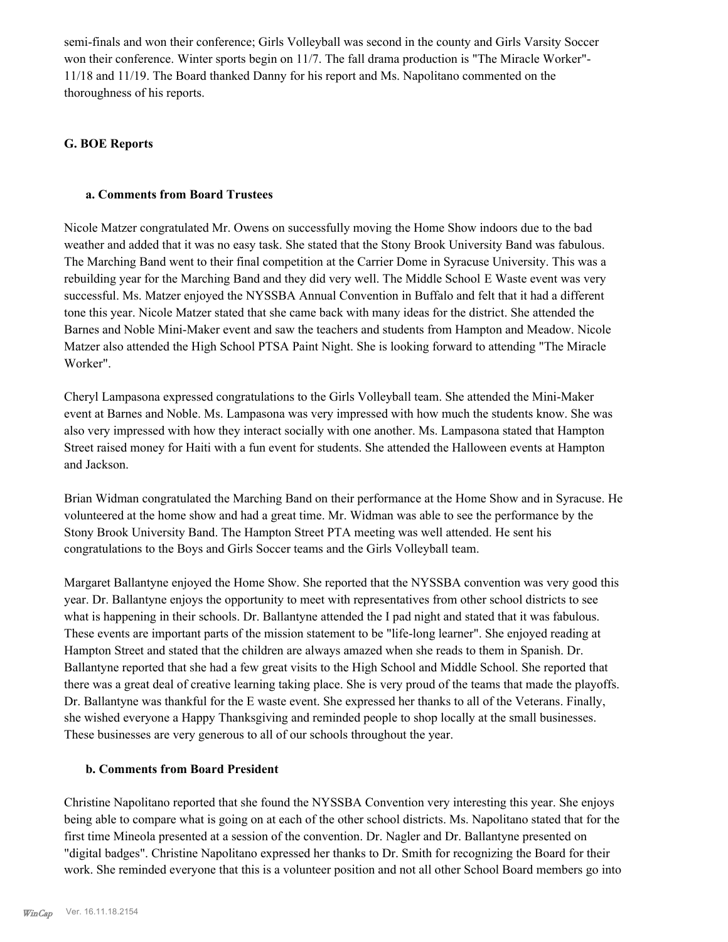semi-finals and won their conference; Girls Volleyball was second in the county and Girls Varsity Soccer won their conference. Winter sports begin on 11/7. The fall drama production is "The Miracle Worker"- 11/18 and 11/19. The Board thanked Danny for his report and Ms. Napolitano commented on the thoroughness of his reports.

### **G. BOE Reports**

#### **a. Comments from Board Trustees**

Nicole Matzer congratulated Mr. Owens on successfully moving the Home Show indoors due to the bad weather and added that it was no easy task. She stated that the Stony Brook University Band was fabulous. The Marching Band went to their final competition at the Carrier Dome in Syracuse University. This was a rebuilding year for the Marching Band and they did very well. The Middle School E Waste event was very successful. Ms. Matzer enjoyed the NYSSBA Annual Convention in Buffalo and felt that it had a different tone this year. Nicole Matzer stated that she came back with many ideas for the district. She attended the Barnes and Noble Mini-Maker event and saw the teachers and students from Hampton and Meadow. Nicole Matzer also attended the High School PTSA Paint Night. She is looking forward to attending "The Miracle Worker".

Cheryl Lampasona expressed congratulations to the Girls Volleyball team. She attended the Mini-Maker event at Barnes and Noble. Ms. Lampasona was very impressed with how much the students know. She was also very impressed with how they interact socially with one another. Ms. Lampasona stated that Hampton Street raised money for Haiti with a fun event for students. She attended the Halloween events at Hampton and Jackson.

Brian Widman congratulated the Marching Band on their performance at the Home Show and in Syracuse. He volunteered at the home show and had a great time. Mr. Widman was able to see the performance by the Stony Brook University Band. The Hampton Street PTA meeting was well attended. He sent his congratulations to the Boys and Girls Soccer teams and the Girls Volleyball team.

Margaret Ballantyne enjoyed the Home Show. She reported that the NYSSBA convention was very good this year. Dr. Ballantyne enjoys the opportunity to meet with representatives from other school districts to see what is happening in their schools. Dr. Ballantyne attended the I pad night and stated that it was fabulous. These events are important parts of the mission statement to be "life-long learner". She enjoyed reading at Hampton Street and stated that the children are always amazed when she reads to them in Spanish. Dr. Ballantyne reported that she had a few great visits to the High School and Middle School. She reported that there was a great deal of creative learning taking place. She is very proud of the teams that made the playoffs. Dr. Ballantyne was thankful for the E waste event. She expressed her thanks to all of the Veterans. Finally, she wished everyone a Happy Thanksgiving and reminded people to shop locally at the small businesses. These businesses are very generous to all of our schools throughout the year.

#### **b. Comments from Board President**

Christine Napolitano reported that she found the NYSSBA Convention very interesting this year. She enjoys being able to compare what is going on at each of the other school districts. Ms. Napolitano stated that for the first time Mineola presented at a session of the convention. Dr. Nagler and Dr. Ballantyne presented on "digital badges". Christine Napolitano expressed her thanks to Dr. Smith for recognizing the Board for their work. She reminded everyone that this is a volunteer position and not all other School Board members go into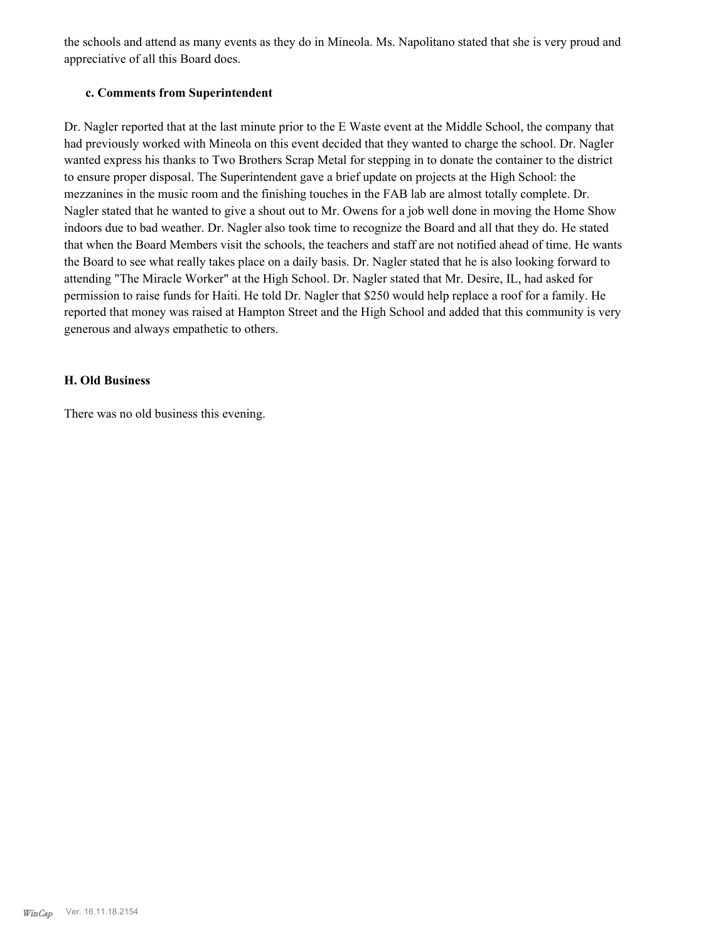the schools and attend as many events as they do in Mineola. Ms. Napolitano stated that she is very proud and appreciative of all this Board does.

#### **c. Comments from Superintendent**

Dr. Nagler reported that at the last minute prior to the E Waste event at the Middle School, the company that had previously worked with Mineola on this event decided that they wanted to charge the school. Dr. Nagler wanted express his thanks to Two Brothers Scrap Metal for stepping in to donate the container to the district to ensure proper disposal. The Superintendent gave a brief update on projects at the High School: the mezzanines in the music room and the finishing touches in the FAB lab are almost totally complete. Dr. Nagler stated that he wanted to give a shout out to Mr. Owens for a job well done in moving the Home Show indoors due to bad weather. Dr. Nagler also took time to recognize the Board and all that they do. He stated that when the Board Members visit the schools, the teachers and staff are not notified ahead of time. He wants the Board to see what really takes place on a daily basis. Dr. Nagler stated that he is also looking forward to attending "The Miracle Worker" at the High School. Dr. Nagler stated that Mr. Desire, IL, had asked for permission to raise funds for Haiti. He told Dr. Nagler that \$250 would help replace a roof for a family. He reported that money was raised at Hampton Street and the High School and added that this community is very generous and always empathetic to others.

#### **H. Old Business**

There was no old business this evening.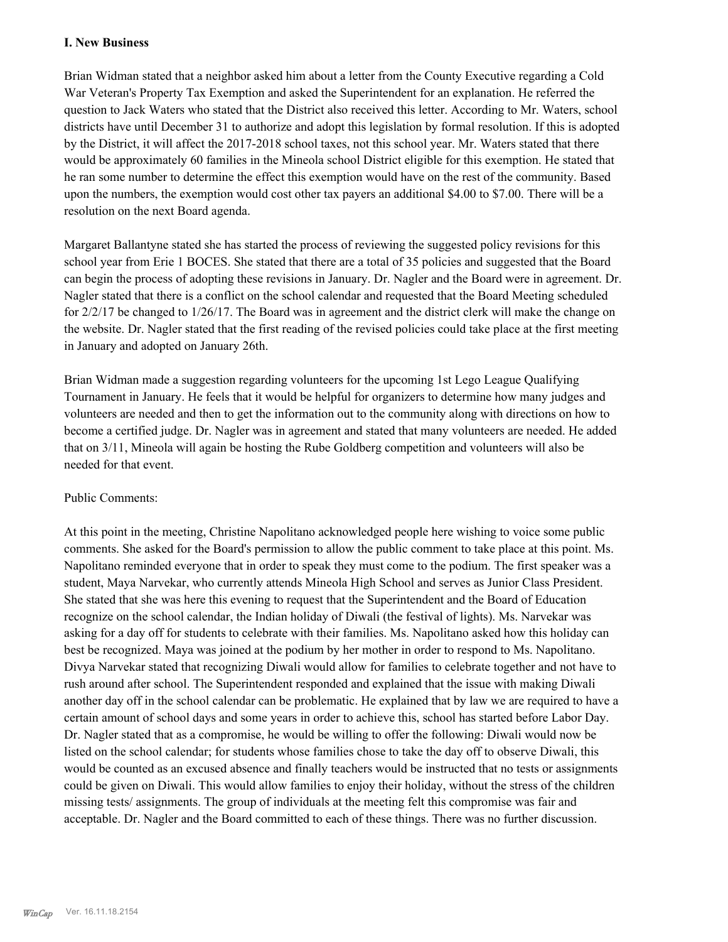### **I. New Business**

Brian Widman stated that a neighbor asked him about a letter from the County Executive regarding a Cold War Veteran's Property Tax Exemption and asked the Superintendent for an explanation. He referred the question to Jack Waters who stated that the District also received this letter. According to Mr. Waters, school districts have until December 31 to authorize and adopt this legislation by formal resolution. If this is adopted by the District, it will affect the 2017-2018 school taxes, not this school year. Mr. Waters stated that there would be approximately 60 families in the Mineola school District eligible for this exemption. He stated that he ran some number to determine the effect this exemption would have on the rest of the community. Based upon the numbers, the exemption would cost other tax payers an additional \$4.00 to \$7.00. There will be a resolution on the next Board agenda.

Margaret Ballantyne stated she has started the process of reviewing the suggested policy revisions for this school year from Erie 1 BOCES. She stated that there are a total of 35 policies and suggested that the Board can begin the process of adopting these revisions in January. Dr. Nagler and the Board were in agreement. Dr. Nagler stated that there is a conflict on the school calendar and requested that the Board Meeting scheduled for 2/2/17 be changed to 1/26/17. The Board was in agreement and the district clerk will make the change on the website. Dr. Nagler stated that the first reading of the revised policies could take place at the first meeting in January and adopted on January 26th.

Brian Widman made a suggestion regarding volunteers for the upcoming 1st Lego League Qualifying Tournament in January. He feels that it would be helpful for organizers to determine how many judges and volunteers are needed and then to get the information out to the community along with directions on how to become a certified judge. Dr. Nagler was in agreement and stated that many volunteers are needed. He added that on 3/11, Mineola will again be hosting the Rube Goldberg competition and volunteers will also be needed for that event.

### Public Comments:

At this point in the meeting, Christine Napolitano acknowledged people here wishing to voice some public comments. She asked for the Board's permission to allow the public comment to take place at this point. Ms. Napolitano reminded everyone that in order to speak they must come to the podium. The first speaker was a student, Maya Narvekar, who currently attends Mineola High School and serves as Junior Class President. She stated that she was here this evening to request that the Superintendent and the Board of Education recognize on the school calendar, the Indian holiday of Diwali (the festival of lights). Ms. Narvekar was asking for a day off for students to celebrate with their families. Ms. Napolitano asked how this holiday can best be recognized. Maya was joined at the podium by her mother in order to respond to Ms. Napolitano. Divya Narvekar stated that recognizing Diwali would allow for families to celebrate together and not have to rush around after school. The Superintendent responded and explained that the issue with making Diwali another day off in the school calendar can be problematic. He explained that by law we are required to have a certain amount of school days and some years in order to achieve this, school has started before Labor Day. Dr. Nagler stated that as a compromise, he would be willing to offer the following: Diwali would now be listed on the school calendar; for students whose families chose to take the day off to observe Diwali, this would be counted as an excused absence and finally teachers would be instructed that no tests or assignments could be given on Diwali. This would allow families to enjoy their holiday, without the stress of the children missing tests/ assignments. The group of individuals at the meeting felt this compromise was fair and acceptable. Dr. Nagler and the Board committed to each of these things. There was no further discussion.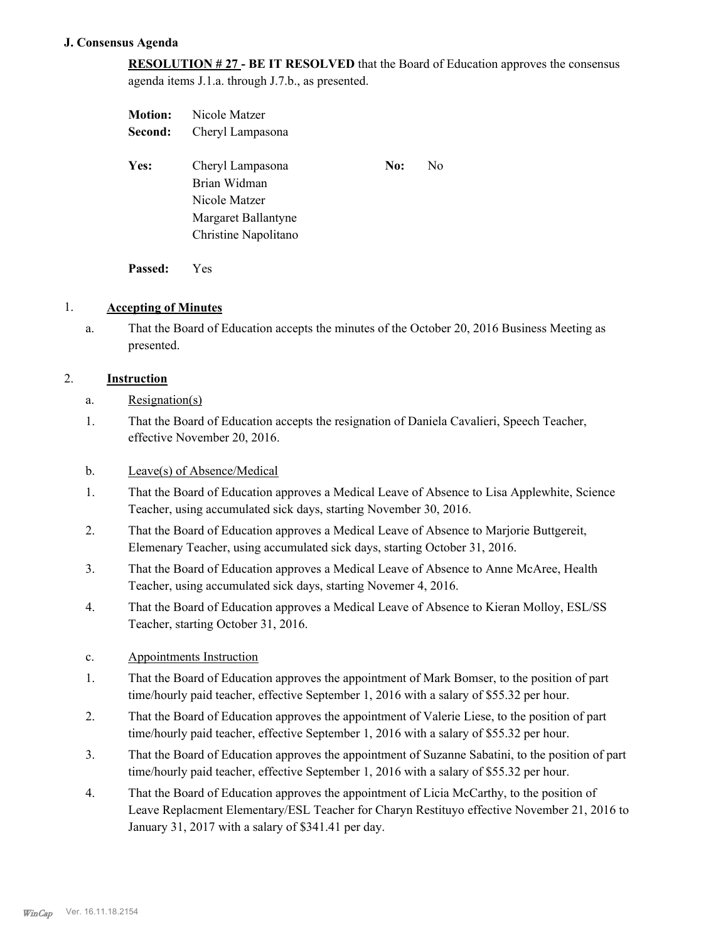#### **J. Consensus Agenda**

**RESOLUTION # 27 - BE IT RESOLVED** that the Board of Education approves the consensus agenda items J.1.a. through J.7.b., as presented.

| <b>Motion:</b> | Nicole Matzer                                                            |     |    |
|----------------|--------------------------------------------------------------------------|-----|----|
| Second:        | Cheryl Lampasona                                                         |     |    |
| Yes:           | Cheryl Lampasona<br>Brian Widman<br>Nicole Matzer<br>Margaret Ballantyne | No: | N0 |
|                | Christine Napolitano                                                     |     |    |

**Passed:** Yes

### 1. **Accepting of Minutes**

That the Board of Education accepts the minutes of the October 20, 2016 Business Meeting as presented. a.

## 2. **Instruction**

- a. Resignation(s)
- That the Board of Education accepts the resignation of Daniela Cavalieri, Speech Teacher, effective November 20, 2016. 1.

## b. Leave(s) of Absence/Medical

- That the Board of Education approves a Medical Leave of Absence to Lisa Applewhite, Science Teacher, using accumulated sick days, starting November 30, 2016. 1.
- That the Board of Education approves a Medical Leave of Absence to Marjorie Buttgereit, Elemenary Teacher, using accumulated sick days, starting October 31, 2016. 2.
- That the Board of Education approves a Medical Leave of Absence to Anne McAree, Health Teacher, using accumulated sick days, starting Novemer 4, 2016. 3.
- That the Board of Education approves a Medical Leave of Absence to Kieran Molloy, ESL/SS Teacher, starting October 31, 2016. 4.

### c. Appointments Instruction

- That the Board of Education approves the appointment of Mark Bomser, to the position of part time/hourly paid teacher, effective September 1, 2016 with a salary of \$55.32 per hour. 1.
- That the Board of Education approves the appointment of Valerie Liese, to the position of part time/hourly paid teacher, effective September 1, 2016 with a salary of \$55.32 per hour. 2.
- That the Board of Education approves the appointment of Suzanne Sabatini, to the position of part time/hourly paid teacher, effective September 1, 2016 with a salary of \$55.32 per hour. 3.
- That the Board of Education approves the appointment of Licia McCarthy, to the position of Leave Replacment Elementary/ESL Teacher for Charyn Restituyo effective November 21, 2016 to January 31, 2017 with a salary of \$341.41 per day. 4.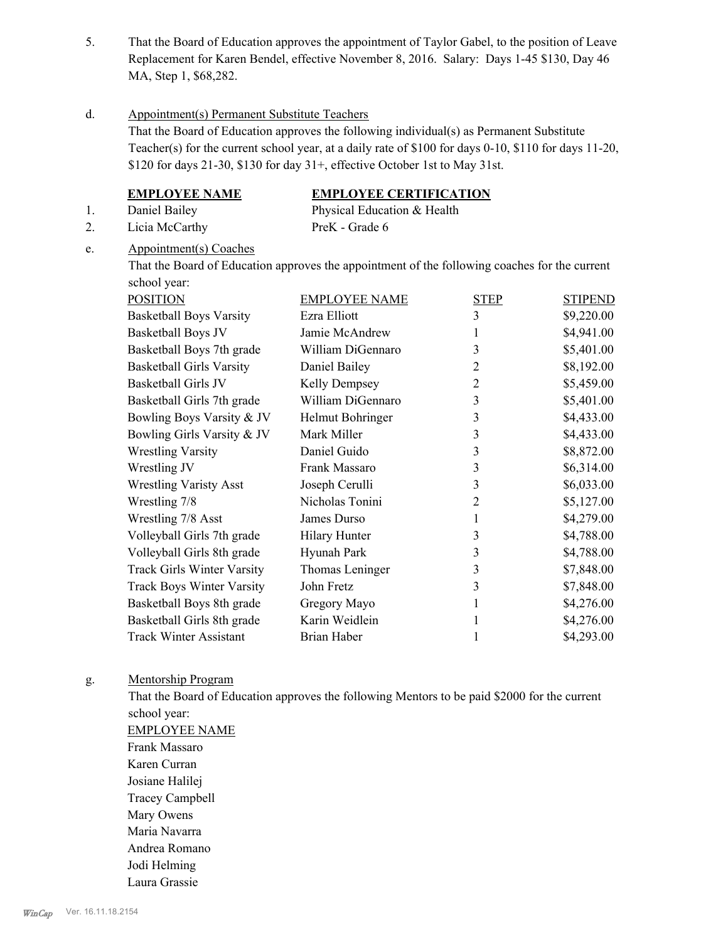That the Board of Education approves the appointment of Taylor Gabel, to the position of Leave Replacement for Karen Bendel, effective November 8, 2016. Salary: Days 1-45 \$130, Day 46 MA, Step 1, \$68,282. 5.

#### Appointment(s) Permanent Substitute Teachers d.

That the Board of Education approves the following individual(s) as Permanent Substitute Teacher(s) for the current school year, at a daily rate of \$100 for days 0-10, \$110 for days 11-20, \$120 for days 21-30, \$130 for day 31+, effective October 1st to May 31st.

# **EMPLOYEE NAME EMPLOYEE CERTIFICATION**

1. Daniel Bailey Physical Education & Health 2. Licia McCarthy PreK - Grade 6

#### Appointment(s) Coaches e.

That the Board of Education approves the appointment of the following coaches for the current school year:

| <b>POSITION</b>                   | <b>EMPLOYEE NAME</b> | <b>STEP</b>    | <b>STIPEND</b> |
|-----------------------------------|----------------------|----------------|----------------|
| <b>Basketball Boys Varsity</b>    | Ezra Elliott         | 3              | \$9,220.00     |
| Basketball Boys JV                | Jamie McAndrew       | 1              | \$4,941.00     |
| Basketball Boys 7th grade         | William DiGennaro    | 3              | \$5,401.00     |
| <b>Basketball Girls Varsity</b>   | Daniel Bailey        | 2              | \$8,192.00     |
| Basketball Girls JV               | Kelly Dempsey        | $\overline{2}$ | \$5,459.00     |
| Basketball Girls 7th grade        | William DiGennaro    | 3              | \$5,401.00     |
| Bowling Boys Varsity & JV         | Helmut Bohringer     | 3              | \$4,433.00     |
| Bowling Girls Varsity & JV        | Mark Miller          | 3              | \$4,433.00     |
| <b>Wrestling Varsity</b>          | Daniel Guido         | 3              | \$8,872.00     |
| Wrestling JV                      | Frank Massaro        | 3              | \$6,314.00     |
| <b>Wrestling Varisty Asst</b>     | Joseph Cerulli       | 3              | \$6,033.00     |
| Wrestling 7/8                     | Nicholas Tonini      | $\overline{2}$ | \$5,127.00     |
| Wrestling 7/8 Asst                | James Durso          | 1              | \$4,279.00     |
| Volleyball Girls 7th grade        | <b>Hilary Hunter</b> | 3              | \$4,788.00     |
| Volleyball Girls 8th grade        | Hyunah Park          | 3              | \$4,788.00     |
| <b>Track Girls Winter Varsity</b> | Thomas Leninger      | 3              | \$7,848.00     |
| <b>Track Boys Winter Varsity</b>  | John Fretz           | 3              | \$7,848.00     |
| Basketball Boys 8th grade         | Gregory Mayo         | 1              | \$4,276.00     |
| Basketball Girls 8th grade        | Karin Weidlein       | 1              | \$4,276.00     |
| <b>Track Winter Assistant</b>     | Brian Haber          | 1              | \$4,293.00     |

#### Mentorship Program g.

That the Board of Education approves the following Mentors to be paid \$2000 for the current school year:

EMPLOYEE NAME Frank Massaro Karen Curran Josiane Halilej Tracey Campbell Mary Owens Maria Navarra Andrea Romano Jodi Helming Laura Grassie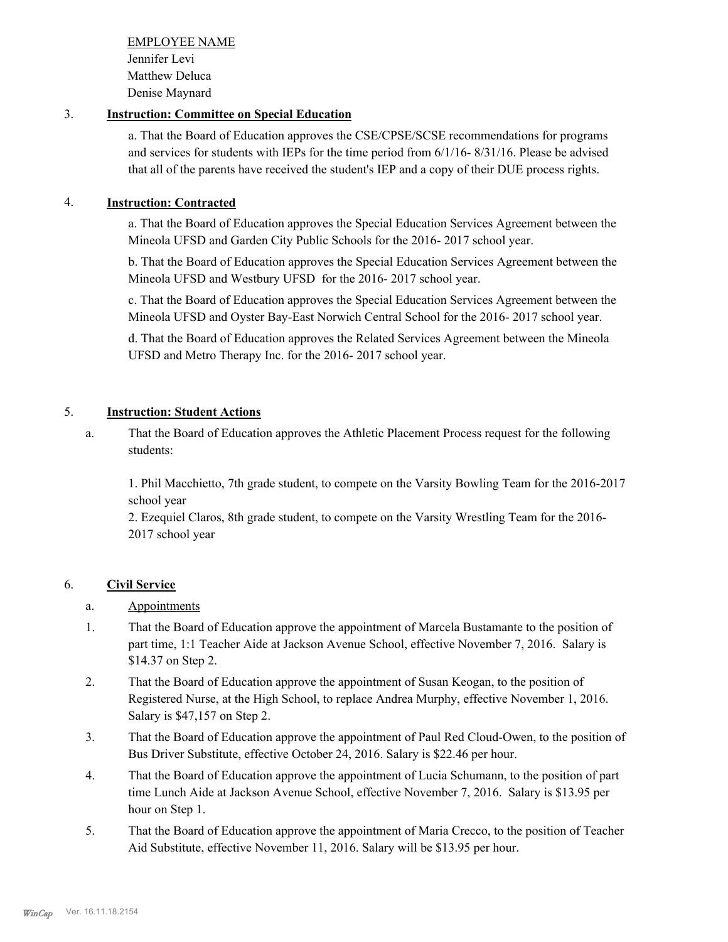EMPLOYEE NAME Jennifer Levi Matthew Deluca Denise Maynard

# 3. **Instruction: Committee on Special Education**

a. That the Board of Education approves the CSE/CPSE/SCSE recommendations for programs and services for students with IEPs for the time period from 6/1/16- 8/31/16. Please be advised that all of the parents have received the student's IEP and a copy of their DUE process rights.

# 4. **Instruction: Contracted**

a. That the Board of Education approves the Special Education Services Agreement between the Mineola UFSD and Garden City Public Schools for the 2016- 2017 school year.

b. That the Board of Education approves the Special Education Services Agreement between the Mineola UFSD and Westbury UFSD for the 2016- 2017 school year.

c. That the Board of Education approves the Special Education Services Agreement between the Mineola UFSD and Oyster Bay-East Norwich Central School for the 2016- 2017 school year.

d. That the Board of Education approves the Related Services Agreement between the Mineola UFSD and Metro Therapy Inc. for the 2016- 2017 school year.

# 5. **Instruction: Student Actions**

That the Board of Education approves the Athletic Placement Process request for the following students: a.

1. Phil Macchietto, 7th grade student, to compete on the Varsity Bowling Team for the 2016-2017 school year

2. Ezequiel Claros, 8th grade student, to compete on the Varsity Wrestling Team for the 2016- 2017 school year

# 6. **Civil Service**

- a. Appointments
- That the Board of Education approve the appointment of Marcela Bustamante to the position of part time, 1:1 Teacher Aide at Jackson Avenue School, effective November 7, 2016. Salary is \$14.37 on Step 2. 1.
- That the Board of Education approve the appointment of Susan Keogan, to the position of Registered Nurse, at the High School, to replace Andrea Murphy, effective November 1, 2016. Salary is \$47,157 on Step 2. 2.
- That the Board of Education approve the appointment of Paul Red Cloud-Owen, to the position of Bus Driver Substitute, effective October 24, 2016. Salary is \$22.46 per hour. 3.
- That the Board of Education approve the appointment of Lucia Schumann, to the position of part time Lunch Aide at Jackson Avenue School, effective November 7, 2016. Salary is \$13.95 per hour on Step 1. 4.
- That the Board of Education approve the appointment of Maria Crecco, to the position of Teacher Aid Substitute, effective November 11, 2016. Salary will be \$13.95 per hour. 5.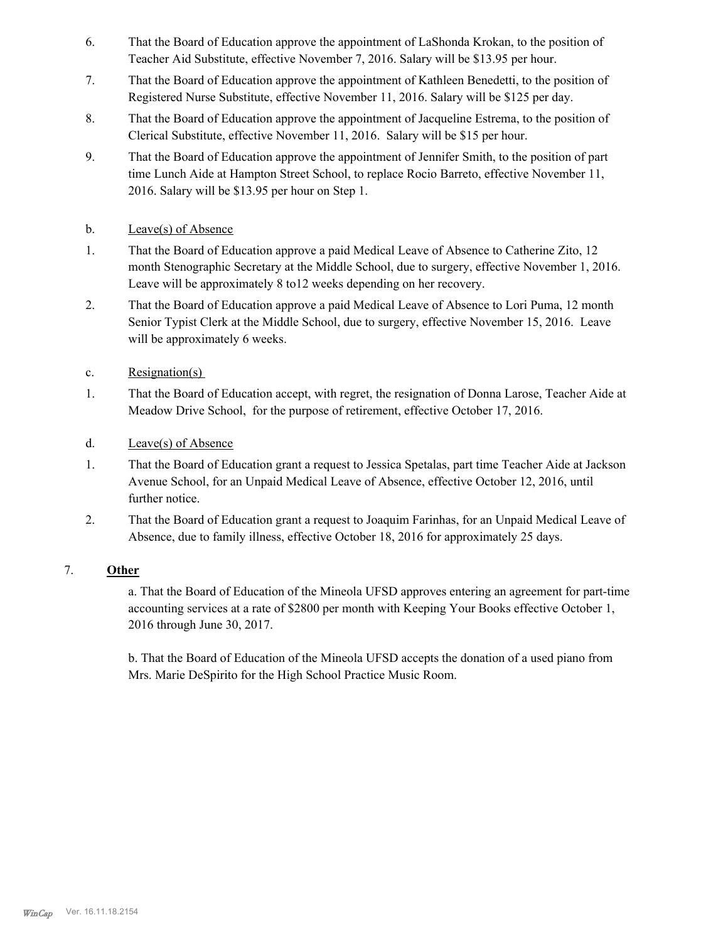- That the Board of Education approve the appointment of LaShonda Krokan, to the position of Teacher Aid Substitute, effective November 7, 2016. Salary will be \$13.95 per hour. 6.
- That the Board of Education approve the appointment of Kathleen Benedetti, to the position of Registered Nurse Substitute, effective November 11, 2016. Salary will be \$125 per day. 7.
- That the Board of Education approve the appointment of Jacqueline Estrema, to the position of Clerical Substitute, effective November 11, 2016. Salary will be \$15 per hour. 8.
- That the Board of Education approve the appointment of Jennifer Smith, to the position of part time Lunch Aide at Hampton Street School, to replace Rocio Barreto, effective November 11, 2016. Salary will be \$13.95 per hour on Step 1. 9.
- b. Leave(s) of Absence
- That the Board of Education approve a paid Medical Leave of Absence to Catherine Zito, 12 month Stenographic Secretary at the Middle School, due to surgery, effective November 1, 2016. Leave will be approximately 8 to12 weeks depending on her recovery. 1.
- That the Board of Education approve a paid Medical Leave of Absence to Lori Puma, 12 month Senior Typist Clerk at the Middle School, due to surgery, effective November 15, 2016. Leave will be approximately 6 weeks. 2.
- c. Resignation(s)
- That the Board of Education accept, with regret, the resignation of Donna Larose, Teacher Aide at Meadow Drive School, for the purpose of retirement, effective October 17, 2016. 1.
- d. Leave(s) of Absence
- That the Board of Education grant a request to Jessica Spetalas, part time Teacher Aide at Jackson Avenue School, for an Unpaid Medical Leave of Absence, effective October 12, 2016, until further notice. 1.
- That the Board of Education grant a request to Joaquim Farinhas, for an Unpaid Medical Leave of Absence, due to family illness, effective October 18, 2016 for approximately 25 days. 2.

### 7. **Other**

a. That the Board of Education of the Mineola UFSD approves entering an agreement for part-time accounting services at a rate of \$2800 per month with Keeping Your Books effective October 1, 2016 through June 30, 2017.

b. That the Board of Education of the Mineola UFSD accepts the donation of a used piano from Mrs. Marie DeSpirito for the High School Practice Music Room.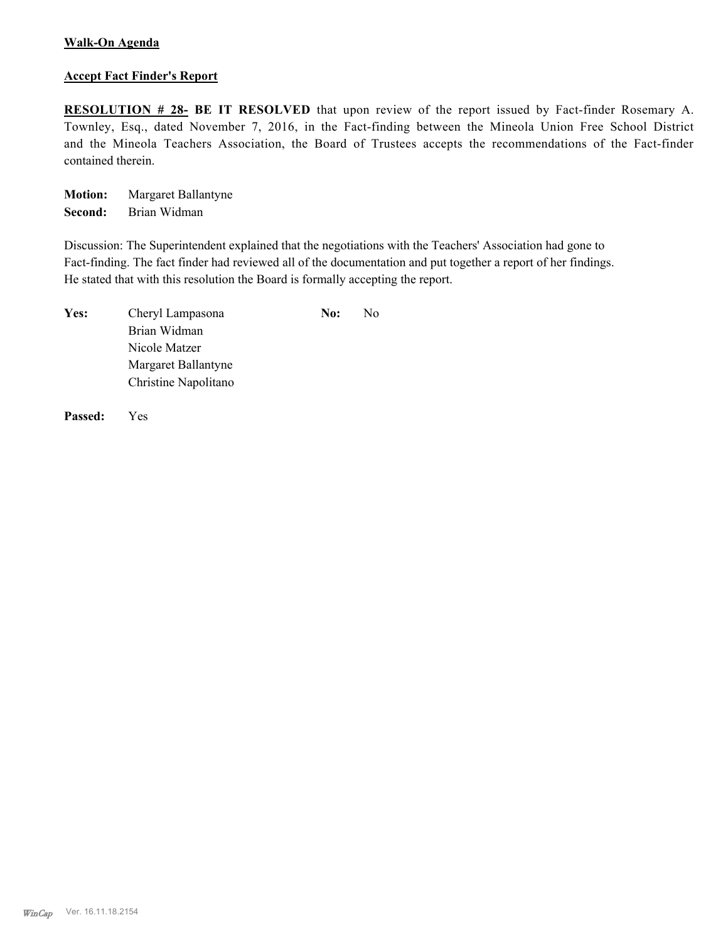## **Walk-On Agenda**

#### **Accept Fact Finder's Report**

**RESOLUTION # 28- BE IT RESOLVED** that upon review of the report issued by Fact-finder Rosemary A. Townley, Esq., dated November 7, 2016, in the Fact-finding between the Mineola Union Free School District and the Mineola Teachers Association, the Board of Trustees accepts the recommendations of the Fact-finder contained therein.

**Motion:** Margaret Ballantyne **Second:** Brian Widman

Discussion: The Superintendent explained that the negotiations with the Teachers' Association had gone to Fact-finding. The fact finder had reviewed all of the documentation and put together a report of her findings. He stated that with this resolution the Board is formally accepting the report.

| Yes: | Cheryl Lampasona     | No: | No. |
|------|----------------------|-----|-----|
|      | Brian Widman         |     |     |
|      | Nicole Matzer        |     |     |
|      | Margaret Ballantyne  |     |     |
|      | Christine Napolitano |     |     |

**Passed:** Yes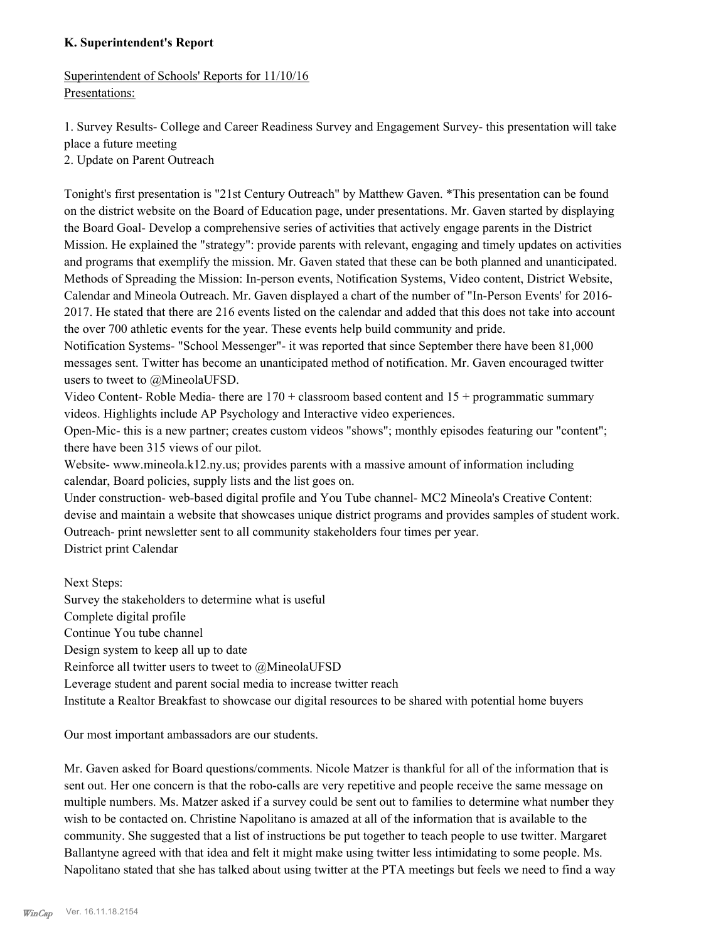### **K. Superintendent's Report**

Superintendent of Schools' Reports for 11/10/16 Presentations:

1. Survey Results- College and Career Readiness Survey and Engagement Survey- this presentation will take place a future meeting

2. Update on Parent Outreach

Tonight's first presentation is "21st Century Outreach" by Matthew Gaven. \*This presentation can be found on the district website on the Board of Education page, under presentations. Mr. Gaven started by displaying the Board Goal- Develop a comprehensive series of activities that actively engage parents in the District Mission. He explained the "strategy": provide parents with relevant, engaging and timely updates on activities and programs that exemplify the mission. Mr. Gaven stated that these can be both planned and unanticipated. Methods of Spreading the Mission: In-person events, Notification Systems, Video content, District Website, Calendar and Mineola Outreach. Mr. Gaven displayed a chart of the number of "In-Person Events' for 2016- 2017. He stated that there are 216 events listed on the calendar and added that this does not take into account the over 700 athletic events for the year. These events help build community and pride.

Notification Systems- "School Messenger"- it was reported that since September there have been 81,000 messages sent. Twitter has become an unanticipated method of notification. Mr. Gaven encouraged twitter users to tweet to @MineolaUFSD.

Video Content- Roble Media- there are  $170 +$  classroom based content and  $15 +$  programmatic summary videos. Highlights include AP Psychology and Interactive video experiences.

Open-Mic- this is a new partner; creates custom videos "shows"; monthly episodes featuring our "content"; there have been 315 views of our pilot.

Website- www.mineola.k12.ny.us; provides parents with a massive amount of information including calendar, Board policies, supply lists and the list goes on.

Under construction- web-based digital profile and You Tube channel- MC2 Mineola's Creative Content: devise and maintain a website that showcases unique district programs and provides samples of student work. Outreach- print newsletter sent to all community stakeholders four times per year. District print Calendar

Next Steps: Survey the stakeholders to determine what is useful Complete digital profile Continue You tube channel Design system to keep all up to date Reinforce all twitter users to tweet to @MineolaUFSD Leverage student and parent social media to increase twitter reach Institute a Realtor Breakfast to showcase our digital resources to be shared with potential home buyers

Our most important ambassadors are our students.

Mr. Gaven asked for Board questions/comments. Nicole Matzer is thankful for all of the information that is sent out. Her one concern is that the robo-calls are very repetitive and people receive the same message on multiple numbers. Ms. Matzer asked if a survey could be sent out to families to determine what number they wish to be contacted on. Christine Napolitano is amazed at all of the information that is available to the community. She suggested that a list of instructions be put together to teach people to use twitter. Margaret Ballantyne agreed with that idea and felt it might make using twitter less intimidating to some people. Ms. Napolitano stated that she has talked about using twitter at the PTA meetings but feels we need to find a way